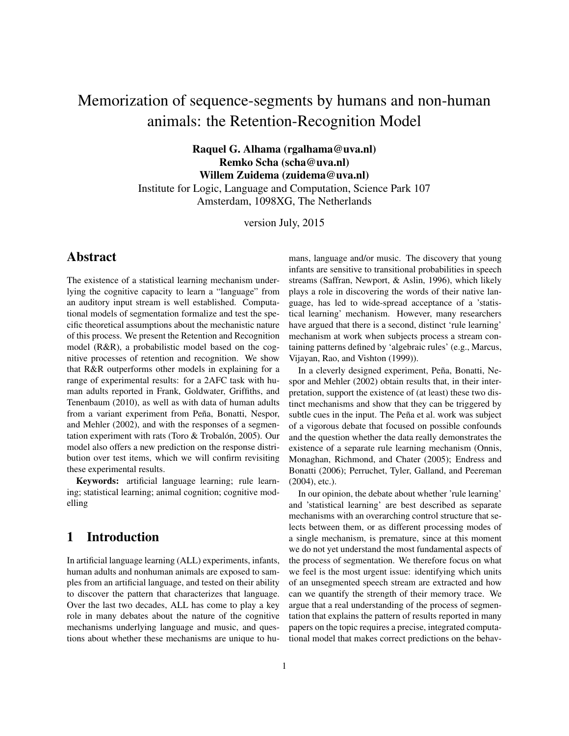# Memorization of sequence-segments by humans and non-human animals: the Retention-Recognition Model

Raquel G. Alhama (rgalhama@uva.nl) Remko Scha (scha@uva.nl) Willem Zuidema (zuidema@uva.nl) Institute for Logic, Language and Computation, Science Park 107 Amsterdam, 1098XG, The Netherlands

version July, 2015

# Abstract

The existence of a statistical learning mechanism underlying the cognitive capacity to learn a "language" from an auditory input stream is well established. Computational models of segmentation formalize and test the specific theoretical assumptions about the mechanistic nature of this process. We present the Retention and Recognition model (R&R), a probabilistic model based on the cognitive processes of retention and recognition. We show that R&R outperforms other models in explaining for a range of experimental results: for a 2AFC task with human adults reported in Frank, Goldwater, Griffiths, and Tenenbaum (2010), as well as with data of human adults from a variant experiment from Peña, Bonatti, Nespor, and Mehler (2002), and with the responses of a segmentation experiment with rats (Toro  $&$  Trobalón, 2005). Our model also offers a new prediction on the response distribution over test items, which we will confirm revisiting these experimental results.

Keywords: artificial language learning; rule learning; statistical learning; animal cognition; cognitive modelling

# 1 Introduction

In artificial language learning (ALL) experiments, infants, human adults and nonhuman animals are exposed to samples from an artificial language, and tested on their ability to discover the pattern that characterizes that language. Over the last two decades, ALL has come to play a key role in many debates about the nature of the cognitive mechanisms underlying language and music, and questions about whether these mechanisms are unique to humans, language and/or music. The discovery that young infants are sensitive to transitional probabilities in speech streams (Saffran, Newport, & Aslin, 1996), which likely plays a role in discovering the words of their native language, has led to wide-spread acceptance of a 'statistical learning' mechanism. However, many researchers have argued that there is a second, distinct 'rule learning' mechanism at work when subjects process a stream containing patterns defined by 'algebraic rules' (e.g., Marcus, Vijayan, Rao, and Vishton (1999)).

In a cleverly designed experiment, Peña, Bonatti, Nespor and Mehler (2002) obtain results that, in their interpretation, support the existence of (at least) these two distinct mechanisms and show that they can be triggered by subtle cues in the input. The Peña et al. work was subject of a vigorous debate that focused on possible confounds and the question whether the data really demonstrates the existence of a separate rule learning mechanism (Onnis, Monaghan, Richmond, and Chater (2005); Endress and Bonatti (2006); Perruchet, Tyler, Galland, and Peereman (2004), etc.).

In our opinion, the debate about whether 'rule learning' and 'statistical learning' are best described as separate mechanisms with an overarching control structure that selects between them, or as different processing modes of a single mechanism, is premature, since at this moment we do not yet understand the most fundamental aspects of the process of segmentation. We therefore focus on what we feel is the most urgent issue: identifying which units of an unsegmented speech stream are extracted and how can we quantify the strength of their memory trace. We argue that a real understanding of the process of segmentation that explains the pattern of results reported in many papers on the topic requires a precise, integrated computational model that makes correct predictions on the behav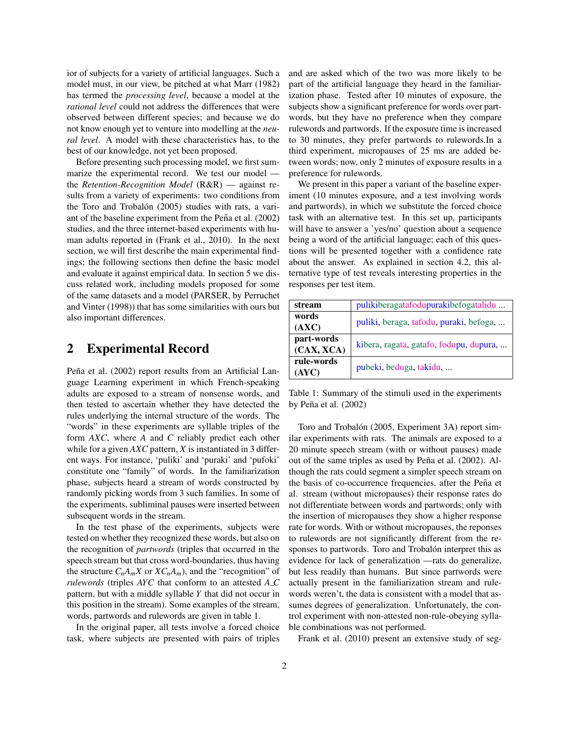ior of subjects for a variety of artificial languages. Such a model must, in our view, be pitched at what Marr (1982) has termed the *processing level*, because a model at the *rational level* could not address the differences that were observed between different species; and because we do not know enough yet to venture into modelling at the *neural level*. A model with these characteristics has, to the best of our knowledge, not yet been proposed.

Before presenting such processing model, we first summarize the experimental record. We test our model the *Retention-Recognition Model* (R&R) — against results from a variety of experiments: two conditions from the Toro and Trobalón (2005) studies with rats, a variant of the baseline experiment from the Peña et al.  $(2002)$ studies, and the three internet-based experiments with human adults reported in (Frank et al., 2010). In the next section, we will first describe the main experimental findings; the following sections then define the basic model and evaluate it against empirical data. In section 5 we discuss related work, including models proposed for some of the same datasets and a model (PARSER, by Perruchet and Vinter (1998)) that has some similarities with ours but also important differences.

# 2 Experimental Record

Peña et al. (2002) report results from an Artificial Language Learning experiment in which French-speaking adults are exposed to a stream of nonsense words, and then tested to ascertain whether they have detected the rules underlying the internal structure of the words. The "words" in these experiments are syllable triples of the form *AXC*, where *A* and *C* reliably predict each other while for a given *AXC* pattern, *X* is instantiated in 3 different ways. For instance, 'puliki' and 'puraki' and 'pufoki' constitute one "family" of words. In the familiarization phase, subjects heard a stream of words constructed by randomly picking words from 3 such families. In some of the experiments, subliminal pauses were inserted between subsequent words in the stream.

In the test phase of the experiments, subjects were tested on whether they recognized these words, but also on the recognition of *partwords* (triples that occurred in the speech stream but that cross word-boundaries, thus having the structure  $C_n A_m X$  or  $X C_n A_m$ ), and the "recognition" of *rulewords* (triples *AYC* that conform to an attested *A C* pattern, but with a middle syllable *Y* that did not occur in this position in the stream). Some examples of the stream, words, partwords and rulewords are given in table 1.

In the original paper, all tests involve a forced choice task, where subjects are presented with pairs of triples

and are asked which of the two was more likely to be part of the artificial language they heard in the familiarization phase. Tested after 10 minutes of exposure, the subjects show a significant preference for words over partwords, but they have no preference when they compare rulewords and partwords. If the exposure time is increased to 30 minutes, they prefer partwords to rulewords.In a third experiment, micropauses of 25 ms are added between words; now, only 2 minutes of exposure results in a preference for rulewords.

We present in this paper a variant of the baseline experiment (10 minutes exposure, and a test involving words and partwords), in which we substitute the forced choice task with an alternative test. In this set up, participants will have to answer a 'yes/no' question about a sequence being a word of the artificial language; each of this questions will be presented together with a confidence rate about the answer. As explained in section 4.2, this alternative type of test reveals interesting properties in the responses per test item.

| stream                   | pulikiberagatafodupurakibefogatalidu    |  |  |
|--------------------------|-----------------------------------------|--|--|
| words<br>(AXC)           | puliki, beraga, tafodu, puraki, befoga, |  |  |
| part-words<br>(CAX, XCA) | kibera, ragata, gatafo, fodupu, dupura, |  |  |
| rule-words<br>(AYC)      | pubeki, beduga, takidu,                 |  |  |

Table 1: Summary of the stimuli used in the experiments by Peña et al.  $(2002)$ 

Toro and Trobalón (2005, Experiment 3A) report similar experiments with rats. The animals are exposed to a 20 minute speech stream (with or without pauses) made out of the same triples as used by Peña et al. (2002). Although the rats could segment a simpler speech stream on the basis of co-occurrence frequencies, after the Peña et al. stream (without micropauses) their response rates do not differentiate between words and partwords; only with the insertion of micropauses they show a higher response rate for words. With or without micropauses, the reponses to rulewords are not significantly different from the responses to partwords. Toro and Trobalón interpret this as evidence for lack of generalization —rats do generalize, but less readily than humans. But since partwords were actually present in the familiarization stream and rulewords weren't, the data is consistent with a model that assumes degrees of generalization. Unfortunately, the control experiment with non-attested non-rule-obeying syllable combinations was not performed.

Frank et al. (2010) present an extensive study of seg-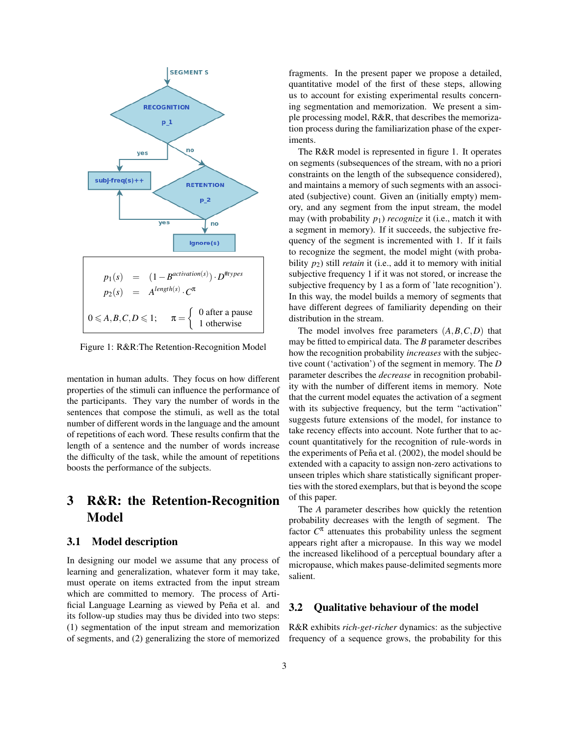

Figure 1: R&R:The Retention-Recognition Model

mentation in human adults. They focus on how different properties of the stimuli can influence the performance of the participants. They vary the number of words in the sentences that compose the stimuli, as well as the total number of different words in the language and the amount of repetitions of each word. These results confirm that the length of a sentence and the number of words increase the difficulty of the task, while the amount of repetitions boosts the performance of the subjects.

# 3 R&R: the Retention-Recognition Model

### 3.1 Model description

In designing our model we assume that any process of learning and generalization, whatever form it may take, must operate on items extracted from the input stream which are committed to memory. The process of Artificial Language Learning as viewed by Peña et al. and its follow-up studies may thus be divided into two steps: (1) segmentation of the input stream and memorization of segments, and (2) generalizing the store of memorized fragments. In the present paper we propose a detailed, quantitative model of the first of these steps, allowing us to account for existing experimental results concerning segmentation and memorization. We present a simple processing model, R&R, that describes the memorization process during the familiarization phase of the experiments.

The R&R model is represented in figure 1. It operates on segments (subsequences of the stream, with no a priori constraints on the length of the subsequence considered), and maintains a memory of such segments with an associated (subjective) count. Given an (initially empty) memory, and any segment from the input stream, the model may (with probability *p*1) *recognize* it (i.e., match it with a segment in memory). If it succeeds, the subjective frequency of the segment is incremented with 1. If it fails to recognize the segment, the model might (with probability *p*2) still *retain* it (i.e., add it to memory with initial subjective frequency 1 if it was not stored, or increase the subjective frequency by 1 as a form of 'late recognition'). In this way, the model builds a memory of segments that have different degrees of familiarity depending on their distribution in the stream.

The model involves free parameters (*A*,*B*,*C*,*D*) that may be fitted to empirical data. The *B* parameter describes how the recognition probability *increases* with the subjective count ('activation') of the segment in memory. The *D* parameter describes the *decrease* in recognition probability with the number of different items in memory. Note that the current model equates the activation of a segment with its subjective frequency, but the term "activation" suggests future extensions of the model, for instance to take recency effects into account. Note further that to account quantitatively for the recognition of rule-words in the experiments of Peña et al. (2002), the model should be extended with a capacity to assign non-zero activations to unseen triples which share statistically significant properties with the stored exemplars, but that is beyond the scope of this paper.

The *A* parameter describes how quickly the retention probability decreases with the length of segment. The factor  $C^{\pi}$  attenuates this probability unless the segment appears right after a micropause. In this way we model the increased likelihood of a perceptual boundary after a micropause, which makes pause-delimited segments more salient.

#### 3.2 Qualitative behaviour of the model

R&R exhibits *rich-get-richer* dynamics: as the subjective frequency of a sequence grows, the probability for this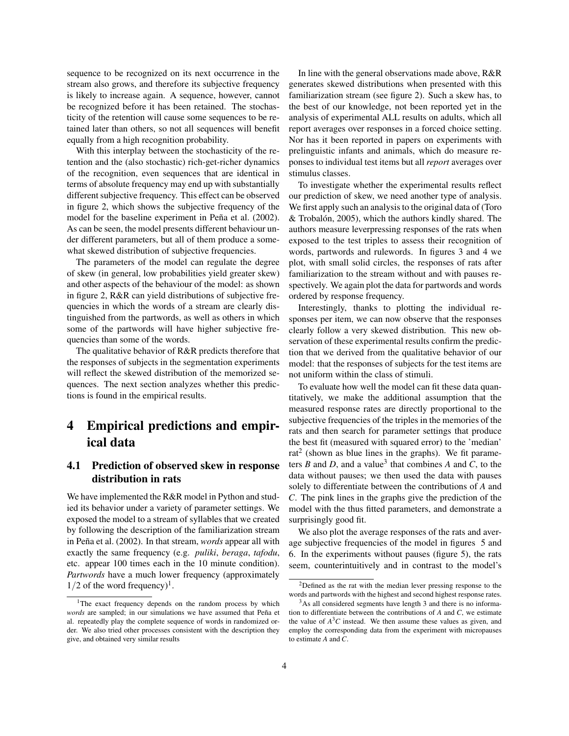sequence to be recognized on its next occurrence in the stream also grows, and therefore its subjective frequency is likely to increase again. A sequence, however, cannot be recognized before it has been retained. The stochasticity of the retention will cause some sequences to be retained later than others, so not all sequences will benefit equally from a high recognition probability.

With this interplay between the stochasticity of the retention and the (also stochastic) rich-get-richer dynamics of the recognition, even sequences that are identical in terms of absolute frequency may end up with substantially different subjective frequency. This effect can be observed in figure 2, which shows the subjective frequency of the model for the baseline experiment in Peña et al. (2002). As can be seen, the model presents different behaviour under different parameters, but all of them produce a somewhat skewed distribution of subjective frequencies.

The parameters of the model can regulate the degree of skew (in general, low probabilities yield greater skew) and other aspects of the behaviour of the model: as shown in figure 2, R&R can yield distributions of subjective frequencies in which the words of a stream are clearly distinguished from the partwords, as well as others in which some of the partwords will have higher subjective frequencies than some of the words.

The qualitative behavior of R&R predicts therefore that the responses of subjects in the segmentation experiments will reflect the skewed distribution of the memorized sequences. The next section analyzes whether this predictions is found in the empirical results.

# 4 Empirical predictions and empirical data

### 4.1 Prediction of observed skew in response distribution in rats

We have implemented the R&R model in Python and studied its behavior under a variety of parameter settings. We exposed the model to a stream of syllables that we created by following the description of the familiarization stream in Peña et al. (2002). In that stream, *words* appear all with exactly the same frequency (e.g. *puliki*, *beraga*, *tafodu*, etc. appear 100 times each in the 10 minute condition). *Partwords* have a much lower frequency (approximately  $1/2$  of the word frequency)<sup>1</sup>.

In line with the general observations made above, R&R generates skewed distributions when presented with this familiarization stream (see figure 2). Such a skew has, to the best of our knowledge, not been reported yet in the analysis of experimental ALL results on adults, which all report averages over responses in a forced choice setting. Nor has it been reported in papers on experiments with prelinguistic infants and animals, which do measure reponses to individual test items but all *report* averages over stimulus classes.

To investigate whether the experimental results reflect our prediction of skew, we need another type of analysis. We first apply such an analysis to the original data of (Toro  $&$  Trobalón, 2005), which the authors kindly shared. The authors measure leverpressing responses of the rats when exposed to the test triples to assess their recognition of words, partwords and rulewords. In figures 3 and 4 we plot, with small solid circles, the responses of rats after familiarization to the stream without and with pauses respectively. We again plot the data for partwords and words ordered by response frequency.

Interestingly, thanks to plotting the individual responses per item, we can now observe that the responses clearly follow a very skewed distribution. This new observation of these experimental results confirm the prediction that we derived from the qualitative behavior of our model: that the responses of subjects for the test items are not uniform within the class of stimuli.

To evaluate how well the model can fit these data quantitatively, we make the additional assumption that the measured response rates are directly proportional to the subjective frequencies of the triples in the memories of the rats and then search for parameter settings that produce the best fit (measured with squared error) to the 'median' rat<sup>2</sup> (shown as blue lines in the graphs). We fit parameters *B* and *D*, and a value<sup>3</sup> that combines *A* and *C*, to the data without pauses; we then used the data with pauses solely to differentiate between the contributions of *A* and *C*. The pink lines in the graphs give the prediction of the model with the thus fitted parameters, and demonstrate a surprisingly good fit.

We also plot the average responses of the rats and average subjective frequencies of the model in figures 5 and 6. In the experiments without pauses (figure 5), the rats seem, counterintuitively and in contrast to the model's

<sup>&</sup>lt;sup>1</sup>The exact frequency depends on the random process by which *words* are sampled; in our simulations we have assumed that Peña et al. repeatedly play the complete sequence of words in randomized order. We also tried other processes consistent with the description they give, and obtained very similar results

<sup>&</sup>lt;sup>2</sup>Defined as the rat with the median lever pressing response to the words and partwords with the highest and second highest response rates.

<sup>&</sup>lt;sup>3</sup>As all considered segments have length 3 and there is no information to differentiate between the contributions of *A* and *C*, we estimate the value of  $A<sup>3</sup>C$  instead. We then assume these values as given, and employ the corresponding data from the experiment with micropauses to estimate *A* and *C*.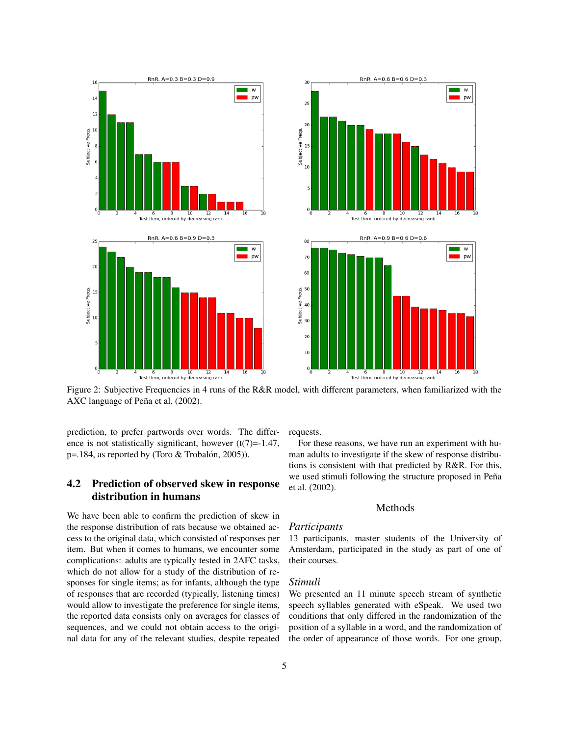

Figure 2: Subjective Frequencies in 4 runs of the R&R model, with different parameters, when familiarized with the AXC language of Peña et al. (2002).

prediction, to prefer partwords over words. The difference is not statistically significant, however  $(t(7)=1.47)$ ,  $p=184$ , as reported by (Toro & Trobalón, 2005)).

### 4.2 Prediction of observed skew in response distribution in humans

We have been able to confirm the prediction of skew in the response distribution of rats because we obtained access to the original data, which consisted of responses per item. But when it comes to humans, we encounter some complications: adults are typically tested in 2AFC tasks, which do not allow for a study of the distribution of responses for single items; as for infants, although the type of responses that are recorded (typically, listening times) would allow to investigate the preference for single items, the reported data consists only on averages for classes of sequences, and we could not obtain access to the original data for any of the relevant studies, despite repeated requests.

For these reasons, we have run an experiment with human adults to investigate if the skew of response distributions is consistent with that predicted by R&R. For this, we used stimuli following the structure proposed in Peña et al. (2002).

#### Methods

#### *Participants*

13 participants, master students of the University of Amsterdam, participated in the study as part of one of their courses.

#### *Stimuli*

We presented an 11 minute speech stream of synthetic speech syllables generated with eSpeak. We used two conditions that only differed in the randomization of the position of a syllable in a word, and the randomization of the order of appearance of those words. For one group,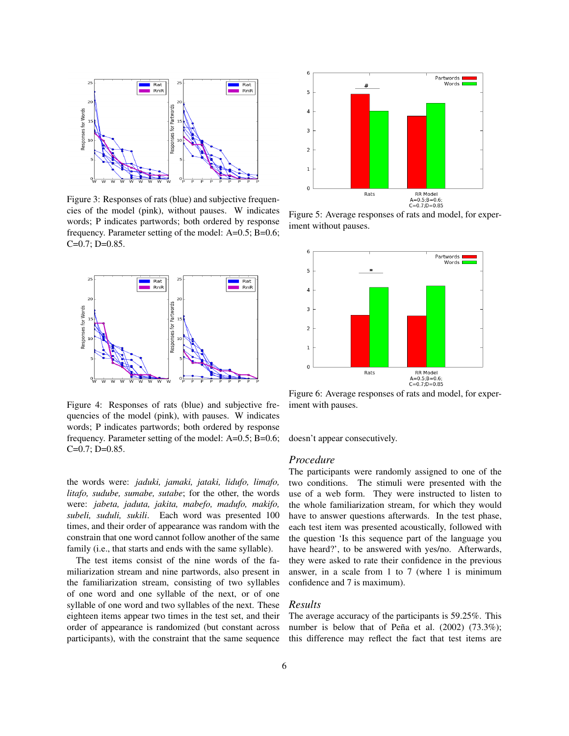

Figure 3: Responses of rats (blue) and subjective frequencies of the model (pink), without pauses. W indicates words; P indicates partwords; both ordered by response frequency. Parameter setting of the model: A=0.5; B=0.6;  $C=0.7; D=0.85.$ 



Figure 4: Responses of rats (blue) and subjective frequencies of the model (pink), with pauses. W indicates words; P indicates partwords; both ordered by response frequency. Parameter setting of the model: A=0.5; B=0.6;  $C=0.7; D=0.85.$ 

the words were: *jaduki, jamaki, jataki, lidufo, limafo, litafo, sudube, sumabe, sutabe*; for the other, the words were: *jabeta, jaduta, jakita, mabefo, madufo, makifo, subeli, suduli, sukili*. Each word was presented 100 times, and their order of appearance was random with the constrain that one word cannot follow another of the same family (i.e., that starts and ends with the same syllable).

The test items consist of the nine words of the familiarization stream and nine partwords, also present in the familiarization stream, consisting of two syllables of one word and one syllable of the next, or of one syllable of one word and two syllables of the next. These eighteen items appear two times in the test set, and their order of appearance is randomized (but constant across participants), with the constraint that the same sequence



Figure 5: Average responses of rats and model, for experiment without pauses.



Figure 6: Average responses of rats and model, for experiment with pauses.

doesn't appear consecutively.

### *Procedure*

The participants were randomly assigned to one of the two conditions. The stimuli were presented with the use of a web form. They were instructed to listen to the whole familiarization stream, for which they would have to answer questions afterwards. In the test phase, each test item was presented acoustically, followed with the question 'Is this sequence part of the language you have heard?', to be answered with yes/no. Afterwards, they were asked to rate their confidence in the previous answer, in a scale from 1 to 7 (where 1 is minimum confidence and 7 is maximum).

#### *Results*

The average accuracy of the participants is 59.25%. This number is below that of Peña et al.  $(2002)$   $(73.3\%)$ ; this difference may reflect the fact that test items are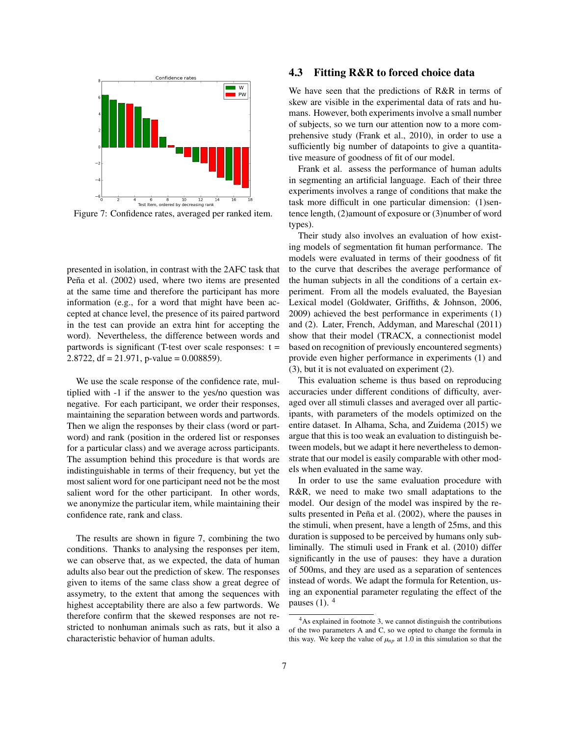

Figure 7: Confidence rates, averaged per ranked item.

presented in isolation, in contrast with the 2AFC task that Peña et al. (2002) used, where two items are presented at the same time and therefore the participant has more information (e.g., for a word that might have been accepted at chance level, the presence of its paired partword in the test can provide an extra hint for accepting the word). Nevertheless, the difference between words and partwords is significant (T-test over scale responses:  $t =$ 2.8722, df = 21.971, p-value =  $0.008859$ ).

We use the scale response of the confidence rate, multiplied with -1 if the answer to the yes/no question was negative. For each participant, we order their responses, maintaining the separation between words and partwords. Then we align the responses by their class (word or partword) and rank (position in the ordered list or responses for a particular class) and we average across participants. The assumption behind this procedure is that words are indistinguishable in terms of their frequency, but yet the most salient word for one participant need not be the most salient word for the other participant. In other words, we anonymize the particular item, while maintaining their confidence rate, rank and class.

The results are shown in figure 7, combining the two conditions. Thanks to analysing the responses per item, we can observe that, as we expected, the data of human adults also bear out the prediction of skew. The responses given to items of the same class show a great degree of assymetry, to the extent that among the sequences with highest acceptability there are also a few partwords. We therefore confirm that the skewed responses are not restricted to nonhuman animals such as rats, but it also a characteristic behavior of human adults.

#### 4.3 Fitting R&R to forced choice data

We have seen that the predictions of R&R in terms of skew are visible in the experimental data of rats and humans. However, both experiments involve a small number of subjects, so we turn our attention now to a more comprehensive study (Frank et al., 2010), in order to use a sufficiently big number of datapoints to give a quantitative measure of goodness of fit of our model.

Frank et al. assess the performance of human adults in segmenting an artificial language. Each of their three experiments involves a range of conditions that make the task more difficult in one particular dimension: (1)sentence length, (2)amount of exposure or (3)number of word types).

Their study also involves an evaluation of how existing models of segmentation fit human performance. The models were evaluated in terms of their goodness of fit to the curve that describes the average performance of the human subjects in all the conditions of a certain experiment. From all the models evaluated, the Bayesian Lexical model (Goldwater, Griffiths, & Johnson, 2006, 2009) achieved the best performance in experiments (1) and (2). Later, French, Addyman, and Mareschal (2011) show that their model (TRACX, a connectionist model based on recognition of previously encountered segments) provide even higher performance in experiments (1) and (3), but it is not evaluated on experiment (2).

This evaluation scheme is thus based on reproducing accuracies under different conditions of difficulty, averaged over all stimuli classes and averaged over all participants, with parameters of the models optimized on the entire dataset. In Alhama, Scha, and Zuidema (2015) we argue that this is too weak an evaluation to distinguish between models, but we adapt it here nevertheless to demonstrate that our model is easily comparable with other models when evaluated in the same way.

In order to use the same evaluation procedure with R&R, we need to make two small adaptations to the model. Our design of the model was inspired by the results presented in Peña et al. (2002), where the pauses in the stimuli, when present, have a length of 25ms, and this duration is supposed to be perceived by humans only subliminally. The stimuli used in Frank et al. (2010) differ significantly in the use of pauses: they have a duration of 500ms, and they are used as a separation of sentences instead of words. We adapt the formula for Retention, using an exponential parameter regulating the effect of the pauses  $(1)$ .  $4$ 

<sup>4</sup>As explained in footnote 3, we cannot distinguish the contributions of the two parameters A and C, so we opted to change the formula in this way. We keep the value of  $\mu_{np}$  at 1.0 in this simulation so that the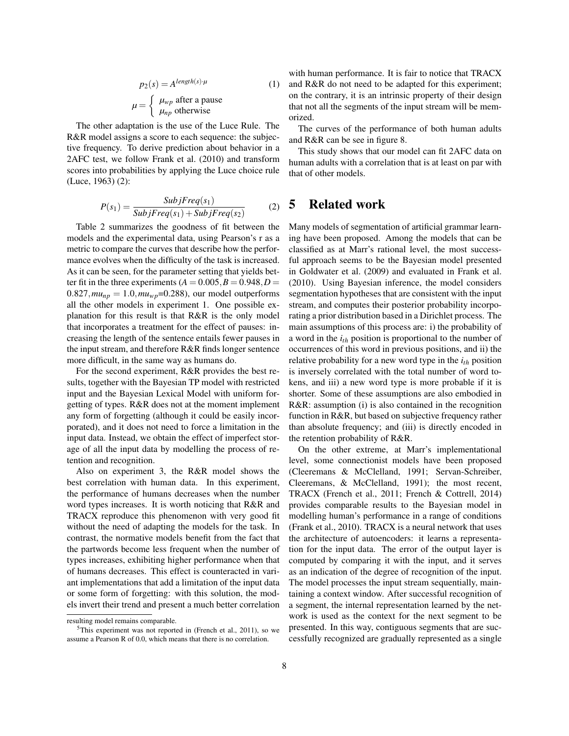$$
p_2(s) = A^{length(s) \cdot \mu}
$$
  
\n
$$
\mu = \begin{cases} \mu_{wp} \text{ after a pause} \\ \mu_{np} \text{ otherwise} \end{cases}
$$
 (1)

The other adaptation is the use of the Luce Rule. The R&R model assigns a score to each sequence: the subjective frequency. To derive prediction about behavior in a 2AFC test, we follow Frank et al. (2010) and transform scores into probabilities by applying the Luce choice rule (Luce, 1963) (2):

$$
P(s_1) = \frac{SubjFreq(s_1)}{SubjFreq(s_1) + SubjFreq(s_2)}
$$
 (2)

Table 2 summarizes the goodness of fit between the models and the experimental data, using Pearson's r as a metric to compare the curves that describe how the performance evolves when the difficulty of the task is increased. As it can be seen, for the parameter setting that yields better fit in the three experiments  $(A = 0.005, B = 0.948, D =$  $0.827$ ,  $mu_{np} = 1.0$ ,  $mu_{wp} = 0.288$ ), our model outperforms all the other models in experiment 1. One possible explanation for this result is that R&R is the only model that incorporates a treatment for the effect of pauses: increasing the length of the sentence entails fewer pauses in the input stream, and therefore R&R finds longer sentence more difficult, in the same way as humans do.

For the second experiment, R&R provides the best results, together with the Bayesian TP model with restricted input and the Bayesian Lexical Model with uniform forgetting of types. R&R does not at the moment implement any form of forgetting (although it could be easily incorporated), and it does not need to force a limitation in the input data. Instead, we obtain the effect of imperfect storage of all the input data by modelling the process of retention and recognition.

Also on experiment 3, the R&R model shows the best correlation with human data. In this experiment, the performance of humans decreases when the number word types increases. It is worth noticing that R&R and TRACX reproduce this phenomenon with very good fit without the need of adapting the models for the task. In contrast, the normative models benefit from the fact that the partwords become less frequent when the number of types increases, exhibiting higher performance when that of humans decreases. This effect is counteracted in variant implementations that add a limitation of the input data or some form of forgetting: with this solution, the models invert their trend and present a much better correlation

with human performance. It is fair to notice that TRACX and R&R do not need to be adapted for this experiment; on the contrary, it is an intrinsic property of their design that not all the segments of the input stream will be memorized.

The curves of the performance of both human adults and R&R can be see in figure 8.

This study shows that our model can fit 2AFC data on human adults with a correlation that is at least on par with that of other models.

### 5 Related work

Many models of segmentation of artificial grammar learning have been proposed. Among the models that can be classified as at Marr's rational level, the most successful approach seems to be the Bayesian model presented in Goldwater et al. (2009) and evaluated in Frank et al. (2010). Using Bayesian inference, the model considers segmentation hypotheses that are consistent with the input stream, and computes their posterior probability incorporating a prior distribution based in a Dirichlet process. The main assumptions of this process are: i) the probability of a word in the *ith* position is proportional to the number of occurrences of this word in previous positions, and ii) the relative probability for a new word type in the *ith* position is inversely correlated with the total number of word tokens, and iii) a new word type is more probable if it is shorter. Some of these assumptions are also embodied in R&R: assumption (i) is also contained in the recognition function in R&R, but based on subjective frequency rather than absolute frequency; and (iii) is directly encoded in the retention probability of R&R.

On the other extreme, at Marr's implementational level, some connectionist models have been proposed (Cleeremans & McClelland, 1991; Servan-Schreiber, Cleeremans, & McClelland, 1991); the most recent, TRACX (French et al., 2011; French & Cottrell, 2014) provides comparable results to the Bayesian model in modelling human's performance in a range of conditions (Frank et al., 2010). TRACX is a neural network that uses the architecture of autoencoders: it learns a representation for the input data. The error of the output layer is computed by comparing it with the input, and it serves as an indication of the degree of recognition of the input. The model processes the input stream sequentially, maintaining a context window. After successful recognition of a segment, the internal representation learned by the network is used as the context for the next segment to be presented. In this way, contiguous segments that are successfully recognized are gradually represented as a single

resulting model remains comparable.

 $5$ This experiment was not reported in (French et al., 2011), so we assume a Pearson R of 0.0, which means that there is no correlation.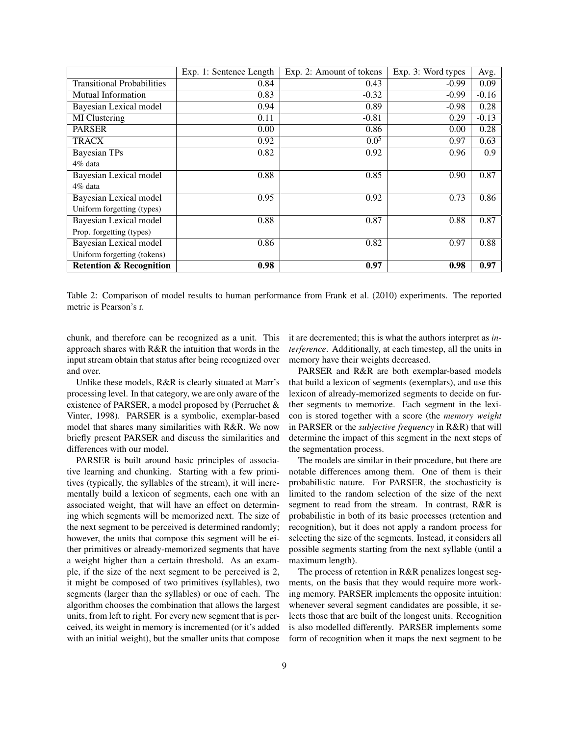|                                    | Exp. 1: Sentence Length | Exp. 2: Amount of tokens | Exp. 3: Word types | Avg.    |
|------------------------------------|-------------------------|--------------------------|--------------------|---------|
| <b>Transitional Probabilities</b>  | 0.84                    | 0.43                     | $-0.99$            | 0.09    |
| <b>Mutual Information</b>          | 0.83                    | $-0.32$                  | $-0.99$            | $-0.16$ |
| Bayesian Lexical model             | 0.94                    | 0.89                     | $-0.98$            | 0.28    |
| MI Clustering                      | 0.11                    | $-0.81$                  | 0.29               | $-0.13$ |
| <b>PARSER</b>                      | 0.00                    | 0.86                     | 0.00               | 0.28    |
| <b>TRACX</b>                       | 0.92                    | $0.0^{5}$                | 0.97               | 0.63    |
| <b>Bayesian TPs</b>                | 0.82                    | 0.92                     | 0.96               | 0.9     |
| 4% data                            |                         |                          |                    |         |
| Bayesian Lexical model             | 0.88                    | 0.85                     | 0.90               | 0.87    |
| 4% data                            |                         |                          |                    |         |
| Bayesian Lexical model             | 0.95                    | 0.92                     | 0.73               | 0.86    |
| Uniform forgetting (types)         |                         |                          |                    |         |
| Bayesian Lexical model             | 0.88                    | 0.87                     | 0.88               | 0.87    |
| Prop. forgetting (types)           |                         |                          |                    |         |
| Bayesian Lexical model             | 0.86                    | 0.82                     | 0.97               | 0.88    |
| Uniform forgetting (tokens)        |                         |                          |                    |         |
| <b>Retention &amp; Recognition</b> | 0.98                    | 0.97                     | 0.98               | 0.97    |

Table 2: Comparison of model results to human performance from Frank et al. (2010) experiments. The reported metric is Pearson's r.

chunk, and therefore can be recognized as a unit. This approach shares with R&R the intuition that words in the input stream obtain that status after being recognized over and over.

Unlike these models, R&R is clearly situated at Marr's processing level. In that category, we are only aware of the existence of PARSER, a model proposed by (Perruchet & Vinter, 1998). PARSER is a symbolic, exemplar-based model that shares many similarities with R&R. We now briefly present PARSER and discuss the similarities and differences with our model.

PARSER is built around basic principles of associative learning and chunking. Starting with a few primitives (typically, the syllables of the stream), it will incrementally build a lexicon of segments, each one with an associated weight, that will have an effect on determining which segments will be memorized next. The size of the next segment to be perceived is determined randomly; however, the units that compose this segment will be either primitives or already-memorized segments that have a weight higher than a certain threshold. As an example, if the size of the next segment to be perceived is 2, it might be composed of two primitives (syllables), two segments (larger than the syllables) or one of each. The algorithm chooses the combination that allows the largest units, from left to right. For every new segment that is perceived, its weight in memory is incremented (or it's added with an initial weight), but the smaller units that compose it are decremented; this is what the authors interpret as *interference*. Additionally, at each timestep, all the units in memory have their weights decreased.

PARSER and R&R are both exemplar-based models that build a lexicon of segments (exemplars), and use this lexicon of already-memorized segments to decide on further segments to memorize. Each segment in the lexicon is stored together with a score (the *memory weight* in PARSER or the *subjective frequency* in R&R) that will determine the impact of this segment in the next steps of the segmentation process.

The models are similar in their procedure, but there are notable differences among them. One of them is their probabilistic nature. For PARSER, the stochasticity is limited to the random selection of the size of the next segment to read from the stream. In contrast, R&R is probabilistic in both of its basic processes (retention and recognition), but it does not apply a random process for selecting the size of the segments. Instead, it considers all possible segments starting from the next syllable (until a maximum length).

The process of retention in R&R penalizes longest segments, on the basis that they would require more working memory. PARSER implements the opposite intuition: whenever several segment candidates are possible, it selects those that are built of the longest units. Recognition is also modelled differently. PARSER implements some form of recognition when it maps the next segment to be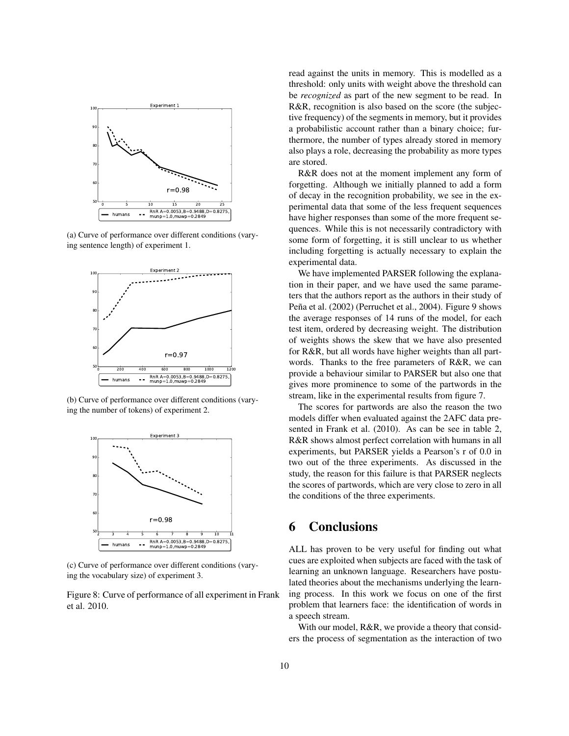

(a) Curve of performance over different conditions (varying sentence length) of experiment 1.



(b) Curve of performance over different conditions (varying the number of tokens) of experiment 2.



(c) Curve of performance over different conditions (varying the vocabulary size) of experiment 3.

Figure 8: Curve of performance of all experiment in Frank et al. 2010.

read against the units in memory. This is modelled as a threshold: only units with weight above the threshold can be *recognized* as part of the new segment to be read. In R&R, recognition is also based on the score (the subjective frequency) of the segments in memory, but it provides a probabilistic account rather than a binary choice; furthermore, the number of types already stored in memory also plays a role, decreasing the probability as more types are stored.

R&R does not at the moment implement any form of forgetting. Although we initially planned to add a form of decay in the recognition probability, we see in the experimental data that some of the less frequent sequences have higher responses than some of the more frequent sequences. While this is not necessarily contradictory with some form of forgetting, it is still unclear to us whether including forgetting is actually necessary to explain the experimental data.

We have implemented PARSER following the explanation in their paper, and we have used the same parameters that the authors report as the authors in their study of Peña et al. (2002) (Perruchet et al., 2004). Figure 9 shows the average responses of 14 runs of the model, for each test item, ordered by decreasing weight. The distribution of weights shows the skew that we have also presented for R&R, but all words have higher weights than all partwords. Thanks to the free parameters of R&R, we can provide a behaviour similar to PARSER but also one that gives more prominence to some of the partwords in the stream, like in the experimental results from figure 7.

The scores for partwords are also the reason the two models differ when evaluated against the 2AFC data presented in Frank et al. (2010). As can be see in table 2, R&R shows almost perfect correlation with humans in all experiments, but PARSER yields a Pearson's r of 0.0 in two out of the three experiments. As discussed in the study, the reason for this failure is that PARSER neglects the scores of partwords, which are very close to zero in all the conditions of the three experiments.

# 6 Conclusions

ALL has proven to be very useful for finding out what cues are exploited when subjects are faced with the task of learning an unknown language. Researchers have postulated theories about the mechanisms underlying the learning process. In this work we focus on one of the first problem that learners face: the identification of words in a speech stream.

With our model, R&R, we provide a theory that considers the process of segmentation as the interaction of two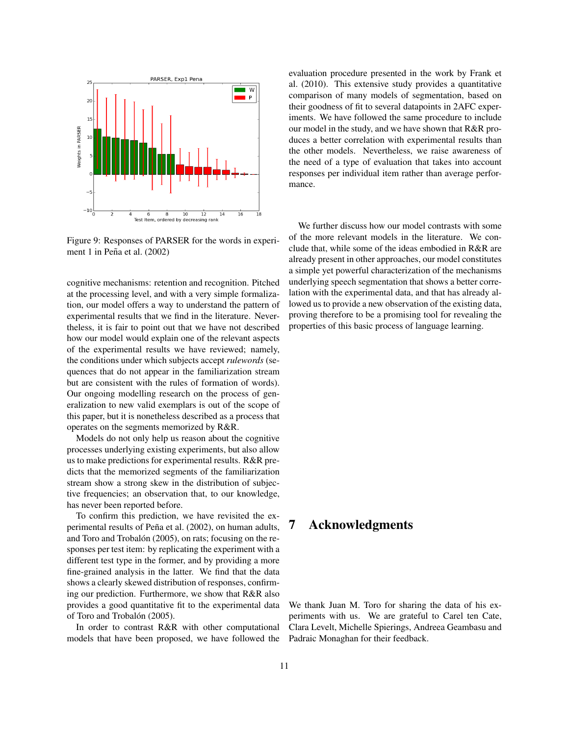

Figure 9: Responses of PARSER for the words in experiment 1 in Peña et al.  $(2002)$ 

cognitive mechanisms: retention and recognition. Pitched at the processing level, and with a very simple formalization, our model offers a way to understand the pattern of experimental results that we find in the literature. Nevertheless, it is fair to point out that we have not described how our model would explain one of the relevant aspects of the experimental results we have reviewed; namely, the conditions under which subjects accept *rulewords* (sequences that do not appear in the familiarization stream but are consistent with the rules of formation of words). Our ongoing modelling research on the process of generalization to new valid exemplars is out of the scope of this paper, but it is nonetheless described as a process that operates on the segments memorized by R&R.

Models do not only help us reason about the cognitive processes underlying existing experiments, but also allow us to make predictions for experimental results. R&R predicts that the memorized segments of the familiarization stream show a strong skew in the distribution of subjective frequencies; an observation that, to our knowledge, has never been reported before.

To confirm this prediction, we have revisited the experimental results of Peña et al. (2002), on human adults, and Toro and Trobalón (2005), on rats; focusing on the responses per test item: by replicating the experiment with a different test type in the former, and by providing a more fine-grained analysis in the latter. We find that the data shows a clearly skewed distribution of responses, confirming our prediction. Furthermore, we show that R&R also provides a good quantitative fit to the experimental data of Toro and Trobalón (2005).

In order to contrast R&R with other computational models that have been proposed, we have followed the evaluation procedure presented in the work by Frank et al. (2010). This extensive study provides a quantitative comparison of many models of segmentation, based on their goodness of fit to several datapoints in 2AFC experiments. We have followed the same procedure to include our model in the study, and we have shown that R&R produces a better correlation with experimental results than the other models. Nevertheless, we raise awareness of the need of a type of evaluation that takes into account responses per individual item rather than average performance.

We further discuss how our model contrasts with some of the more relevant models in the literature. We conclude that, while some of the ideas embodied in R&R are already present in other approaches, our model constitutes a simple yet powerful characterization of the mechanisms underlying speech segmentation that shows a better correlation with the experimental data, and that has already allowed us to provide a new observation of the existing data, proving therefore to be a promising tool for revealing the properties of this basic process of language learning.

# 7 Acknowledgments

We thank Juan M. Toro for sharing the data of his experiments with us. We are grateful to Carel ten Cate, Clara Levelt, Michelle Spierings, Andreea Geambasu and Padraic Monaghan for their feedback.